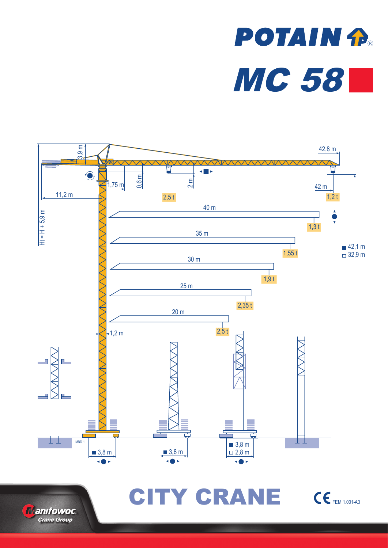# **POTAIN P.** MC 58





CITY CRANE CEFEM 1.001-A3

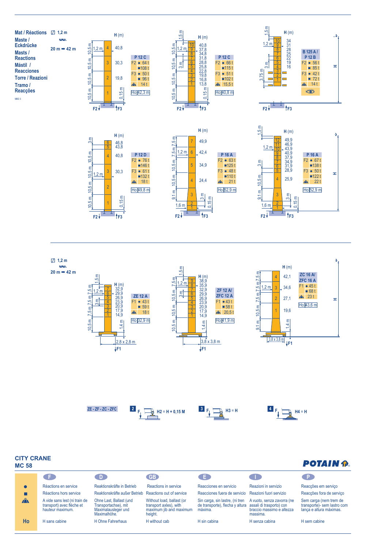









#### **CITY CRANE MC 58**

## **POTAIN P.**

|              | GH.                                                                            | - D -                                                                                  | GB <sup>2</sup>                                                                           | . E.                                                                                                   | a ma                                                                | ∴ P                                                                              |
|--------------|--------------------------------------------------------------------------------|----------------------------------------------------------------------------------------|-------------------------------------------------------------------------------------------|--------------------------------------------------------------------------------------------------------|---------------------------------------------------------------------|----------------------------------------------------------------------------------|
|              | Réactions en service                                                           | Reaktionskräfte in Betrieb                                                             | Reactions in service                                                                      | Reacciones en servicio                                                                                 | Reazioni in servizio                                                | Reacções em serviço                                                              |
|              | Réactions hors service                                                         | Reaktionskräfte außer Betrieb Reactions out of service                                 |                                                                                           | Reacciones fuera de servicio Reazioni fuori servizio                                                   |                                                                     | Reacções fora de serviço                                                         |
| $\mathbf{A}$ | A vide sans lest (ni train de<br>transport) avec flèche et<br>hauteur maximum. | Ohne Last, Ballast (und<br>Transportachse), mit<br>Maximalausleger und<br>Maximalhöhe. | Without load, ballast (or<br>transport axles), with<br>maximum jib and maximum<br>height. | Sin carga, sin lastre, (ni tren<br>de transporte), flecha y altura assali di trasporto) con<br>máxima. | A vuoto, senza zavorra (ne<br>braccio massimo e altezza<br>massima. | Sem carga (nem trem de<br>transporte)- sem lastro com<br>lança e altura máximas. |
| Ho           | H sans cabine                                                                  | H Ohne Fahrerhaus                                                                      | H without cab                                                                             | H sin cabina                                                                                           | H senza cabina                                                      | H sem cabine                                                                     |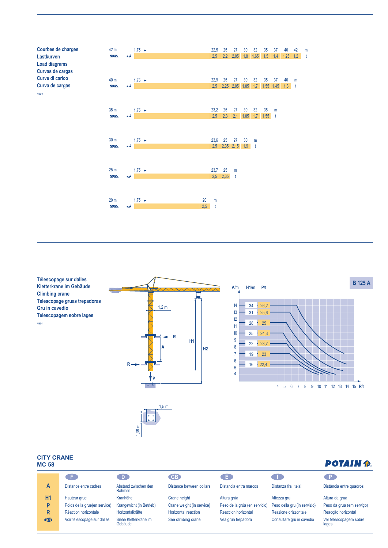

25 m 1,75 ► 23,7 25 m

20 m 1,75 ► 20 m

ь.

ь.<br>Ч

 $\overline{N}$ 

 $\overline{M}$ 

2,35 t 2,5

t 2,5 20

**Télescopage sur dalles Kletterkrane im Gebäude Climbing crane Telescopage gruas trepadoras Gru in cavedio Telescopagem sobre lages** MBD 1







### **CITY CRANE MC 58**

#### **F D GB E I P** Distance entre cadres Hauteur grue Poids de la grue(en service) Réaction horizontale Voir télescopage sur dalles Abstand zwischen den Rahmen Kranhöhe Krangewicht (in Betrieb) Horizontalkräfte Siehe Kletterkrane im Gebäude Distance between collars Crane height Crane weight (in service) Horizontal reaction See climbing crane Distancia entra marcos Altura grúa Peso de la grúa (en servicio) Reaccion horizontal Vea grua trepadora Distanza fra i telai Altezza gru Peso della gru (in servizio) Reazione orizzontale Consultare gru in cavedio Distância entre quadros Altura da grua Peso da grua (em serviço) Reacção horizontal Ver telescopagem sobre lages **A H1 P** R<br>巻

# **POTAIN P.**